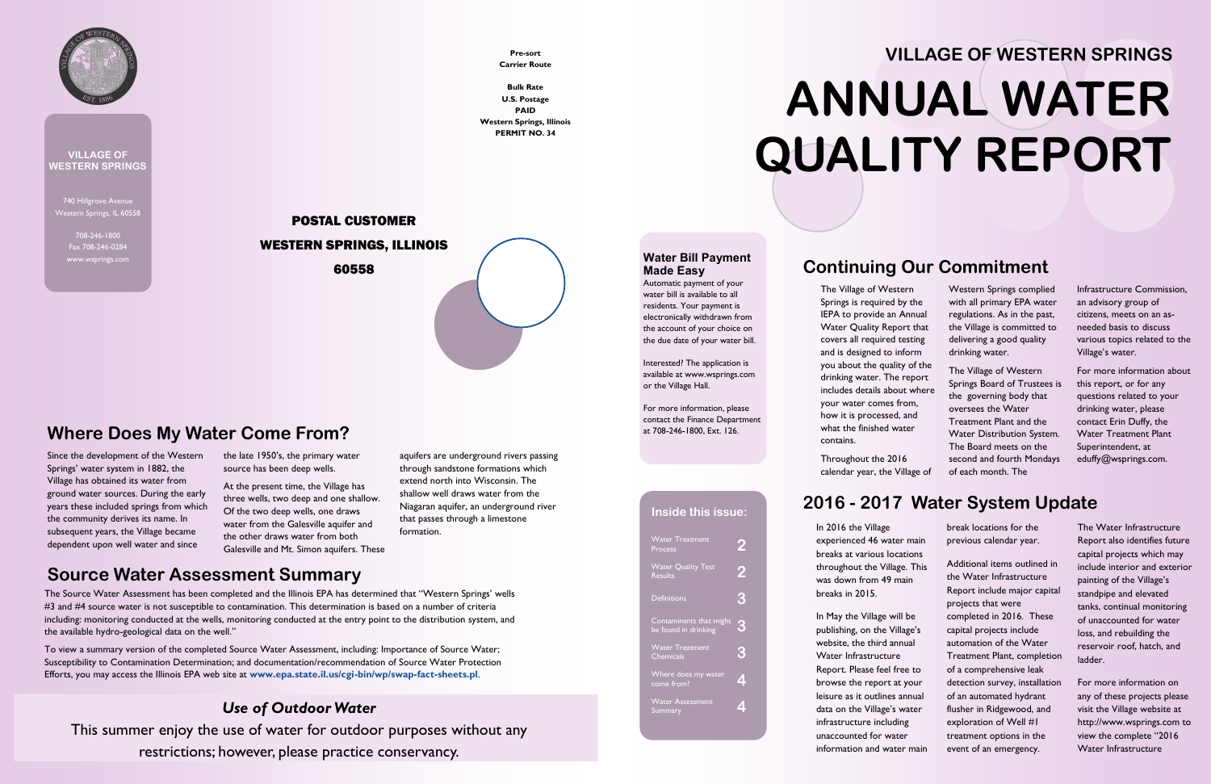740 Hillgrove Avenue Western Springs, IL 60558

> 708-246-1800 Fax 708-246-0284 www.wsprings.com



**VILLAGE OF WESTERN SPRINGS**

### **Continuing Our Commitment**

The Village of Western Springs is required by the IEPA to provide an Annual Water Quality Report that covers all required testing and is designed to inform you about the quality of the drinking water. The report includes details about where your water comes from, how it is processed, and what the finished water contains.

Throughout the 2016 calendar year, the Village of

Western Springs complied with all primary EPA water regulations. As in the past, the Village is committed to delivering a good quality drinking water.

The Village of Western Springs Board of Trustees is the governing body that oversees the Water Treatment Plant and the Water Distribution System. The Board meets on the second and fourth Mondays of each month. The

Infrastructure Commission, an advisory group of citizens, meets on an asneeded basis to discuss various topics related to the Village's water.

For more information about this report, or for any questions related to your drinking water, please contact Erin Duffy, the Water Treatment Plant Superintendent, at eduffy@wsprings.com.

For more information on any of these projects please visit the Village website at http://www.wsprings.com to view the complete "2016 Water Infrastructure

### **2016 - 2017 Water System Update**

In 2016 the Village experienced 46 water main breaks at various locations throughout the Village. This was down from 49 main breaks in 2015.

| <b>Water Treatment</b><br>Process               |   |
|-------------------------------------------------|---|
| <b>Water Quality Test</b><br><b>Results</b>     |   |
| <b>Definitions</b>                              | 3 |
| Contaminants that might<br>be found in drinking | G |
| <b>Water Treatment</b><br><b>Chemicals</b>      |   |
| Where does my water<br>come from?               |   |
| <b>Water Assessment</b><br>Summary              |   |
|                                                 |   |
|                                                 |   |

In May the Village will be publishing, on the Village's website, the third annual Water Infrastructure Report. Please feel free to browse the report at your leisure as it outlines annual data on the Village's water infrastructure including unaccounted for water information and water main break locations for the previous calendar year.

Additional items outlined in the Water Infrastructure Report include major capital projects that were completed in 2016. These capital projects include automation of the Water Treatment Plant, completion of a comprehensive leak detection survey, installation of an automated hydrant flusher in Ridgewood, and exploration of Well #1 treatment options in the event of an emergency.

The Water Infrastructure Report also identifies future capital projects which may include interior and exterior painting of the Village's standpipe and elevated tanks, continual monitoring of unaccounted for water loss, and rebuilding the reservoir roof, hatch, and ladder.

# **VILLAGE OF WESTERN SPRINGS ANNUAL WATER QUALITY REPORT**

### **Inside this issue:**

### **Water Bill Payment Made Easy**

Automatic payment of your water bill is available to all residents. Your payment is electronically withdrawn from the account of your choice on the due date of your water bill.

Interested? The application is available at www.wsprings.com or the Village Hall.

For more information, please contact the Finance Department at 708-246-1800, Ext. 126.

Since the development of the Western Springs' water system in 1882, the Village has obtained its water from ground water sources. During the early years these included springs from which the community derives its name. In subsequent years, the Village became dependent upon well water and since

the late 1950's, the primary water source has been deep wells.

At the present time, the Village has three wells, two deep and one shallow. Of the two deep wells, one draws water from the Galesville aquifer and the other draws water from both Galesville and Mt. Simon aquifers. These aquifers are underground rivers passing through sandstone formations which extend north into Wisconsin. The shallow well draws water from the Niagaran aquifer, an underground river that passes through a limestone formation.

### **Where Does My Water Come From?**

**Pre-sort Carrier Route**

**Bulk Rate U.S. Postage PAID Western Springs, Illinois PERMIT NO. 34**

### POSTAL CUSTOMER WESTERN SPRINGS, ILLINOIS 60558

### **Source Water Assessment Summary**

The Source Water Assessment has been completed and the Illinois EPA has determined that "Western Springs' wells #3 and #4 source water is not susceptible to contamination. This determination is based on a number of criteria including: monitoring conducted at the wells, monitoring conducted at the entry point to the distribution system, and the available hydro-geological data on the well."

To view a summary version of the completed Source Water Assessment, including: Importance of Source Water; Susceptibility to Contamination Determination; and documentation/recommendation of Source Water Protection Efforts, you may access the Illinois EPA web site at **www.epa.state.il.us/cgi-bin/wp/swap-fact-sheets.pl**.

### *Use of Outdoor Water*

This summer enjoy the use of water for outdoor purposes without any restrictions; however, please practice conservancy.